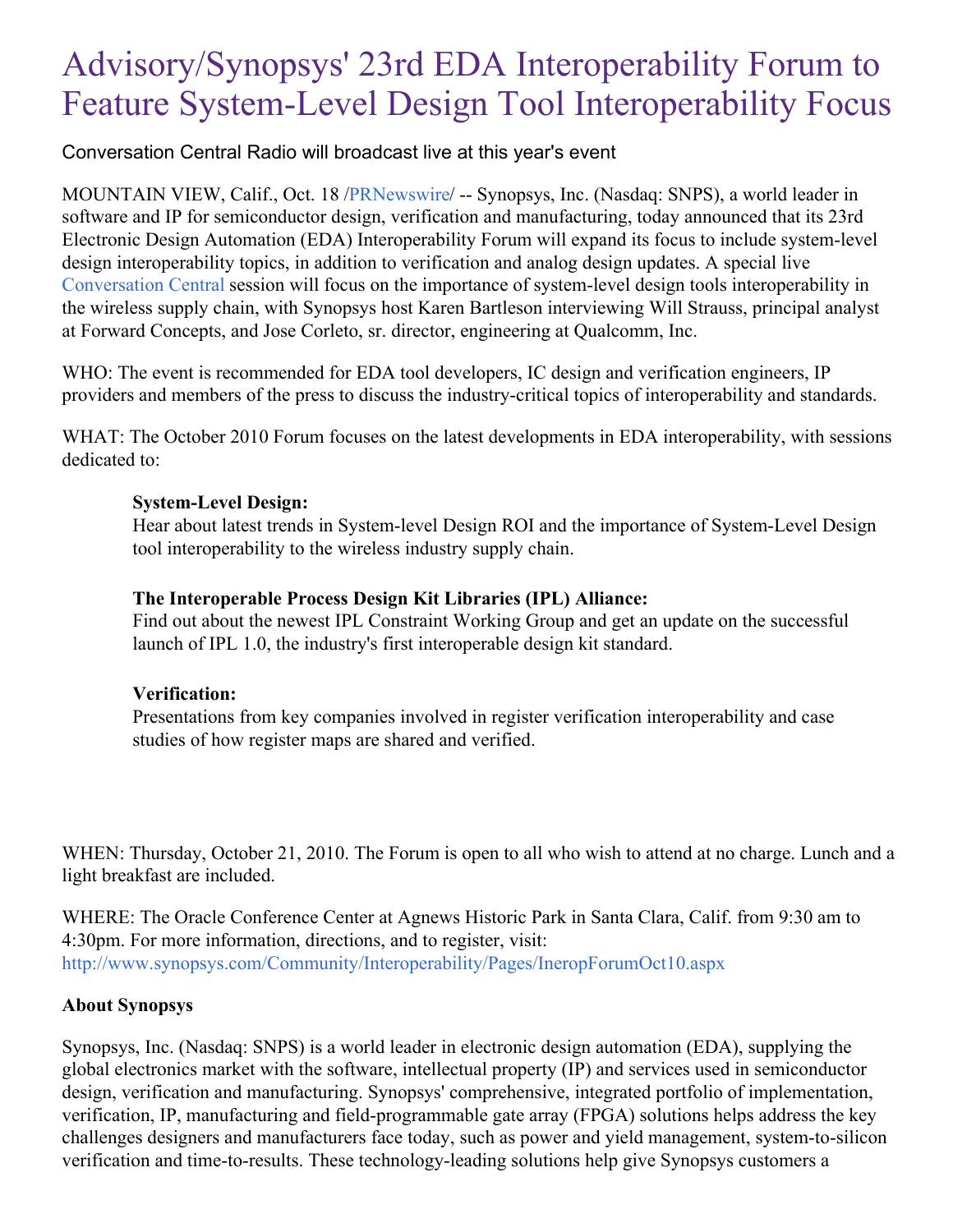# Advisory/Synopsys' 23rd EDA Interoperability Forum to Feature System-Level Design Tool Interoperability Focus

Conversation Central Radio will broadcast live at this year's event

MOUNTAIN VIEW, Calif., Oct. 18 [/PRNewswire](http://www.prnewswire.com/)/ -- Synopsys, Inc. (Nasdaq: SNPS), a world leader in software and IP for semiconductor design, verification and manufacturing, today announced that its 23rd Electronic Design Automation (EDA) Interoperability Forum will expand its focus to include system-level design interoperability topics, in addition to verification and analog design updates. A special live [Conversation](http://www.synopsys.com/Community/ConversationCentral/Pages/default.aspx) Central session will focus on the importance of system-level design tools interoperability in the wireless supply chain, with Synopsys host Karen Bartleson interviewing Will Strauss, principal analyst at Forward Concepts, and Jose Corleto, sr. director, engineering at Qualcomm, Inc.

WHO: The event is recommended for EDA tool developers, IC design and verification engineers, IP providers and members of the press to discuss the industry-critical topics of interoperability and standards.

WHAT: The October 2010 Forum focuses on the latest developments in EDA interoperability, with sessions dedicated to:

### **System-Level Design:**

Hear about latest trends in System-level Design ROI and the importance of System-Level Design tool interoperability to the wireless industry supply chain.

## **The Interoperable Process Design Kit Libraries (IPL) Alliance:**

Find out about the newest IPL Constraint Working Group and get an update on the successful launch of IPL 1.0, the industry's first interoperable design kit standard.

## **Verification:**

Presentations from key companies involved in register verification interoperability and case studies of how register maps are shared and verified.

WHEN: Thursday, October 21, 2010. The Forum is open to all who wish to attend at no charge. Lunch and a light breakfast are included.

WHERE: The Oracle Conference Center at Agnews Historic Park in Santa Clara, Calif. from 9:30 am to 4:30pm. For more information, directions, and to register, visit: <http://www.synopsys.com/Community/Interoperability/Pages/IneropForumOct10.aspx>

## **About Synopsys**

Synopsys, Inc. (Nasdaq: SNPS) is a world leader in electronic design automation (EDA), supplying the global electronics market with the software, intellectual property (IP) and services used in semiconductor design, verification and manufacturing. Synopsys' comprehensive, integrated portfolio of implementation, verification, IP, manufacturing and field-programmable gate array (FPGA) solutions helps address the key challenges designers and manufacturers face today, such as power and yield management, system-to-silicon verification and time-to-results. These technology-leading solutions help give Synopsys customers a